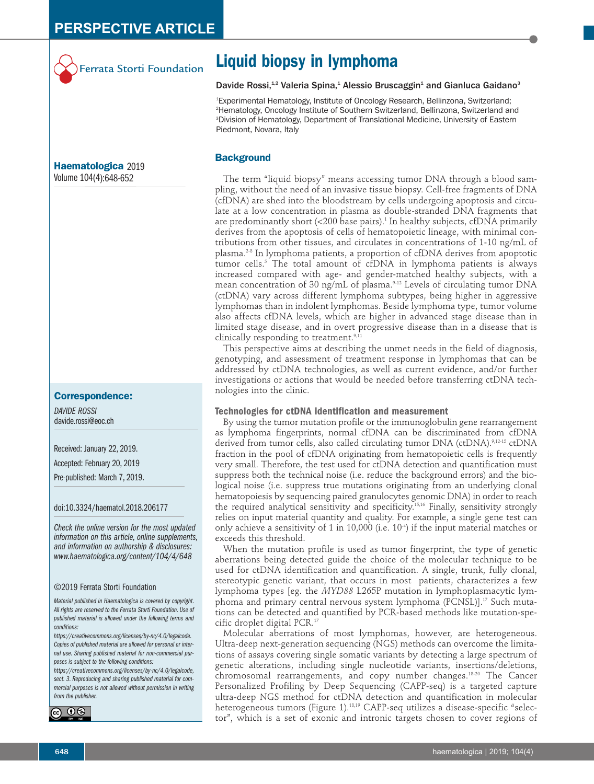

**Haematologica** 2019 Volume 104(4):648-652

# **Correspondence:**

*DAVIDE ROSSI* davide.rossi@eoc.ch

Received: January 22, 2019.

Accepted: February 20, 2019

Pre-published: March 7, 2019.

#### doi:10.3324/haematol.2018.206177

*Check the online version for the most updated information on this article, online supplements, and information on authorship & disclosures: www.haematologica.org/content/104/4/648*

#### ©2019 Ferrata Storti Foundation

*Material published in Haematologica is covered by copyright. All rights are reserved to the Ferrata Storti Foundation. Use of published material is allowed under the following terms and conditions:* 

*https://creativecommons.org/licenses/by-nc/4.0/legalcode. Copies of published material are allowed for personal or internal use. Sharing published material for non-commercial purposes is subject to the following conditions:* 

*https://creativecommons.org/licenses/by-nc/4.0/legalcode, sect. 3. Reproducing and sharing published material for commercial purposes is not allowed without permission in writing from the publisher.*



# Ferrata Storti Foundation **Liquid biopsy in lymphoma**

#### Davide Rossi,<sup>1,2</sup> Valeria Spina,<sup>1</sup> Alessio Bruscaggin<sup>1</sup> and Gianluca Gaidano<sup>3</sup>

 Experimental Hematology, Institute of Oncology Research, Bellinzona, Switzerland; Hematology, Oncology Institute of Southern Switzerland, Bellinzona, Switzerland and Division of Hematology, Department of Translational Medicine, University of Eastern Piedmont, Novara, Italy

# **Background**

The term "liquid biopsy" means accessing tumor DNA through a blood sampling, without the need of an invasive tissue biopsy. Cell-free fragments of DNA (cfDNA) are shed into the bloodstream by cells undergoing apoptosis and circulate at a low concentration in plasma as double-stranded DNA fragments that are predominantly short  $\langle$  ( $\langle$ 200 base pairs).<sup>1</sup> In healthy subjects, cfDNA primarily derives from the apoptosis of cells of hematopoietic lineage, with minimal contributions from other tissues, and circulates in concentrations of 1-10 ng/mL of plasma.2-8 In lymphoma patients, a proportion of cfDNA derives from apoptotic tumor cells.<sup>5</sup> The total amount of cfDNA in lymphoma patients is always increased compared with age- and gender-matched healthy subjects, with a mean concentration of 30 ng/mL of plasma.<sup>9-12</sup> Levels of circulating tumor DNA (ctDNA) vary across different lymphoma subtypes, being higher in aggressive lymphomas than in indolent lymphomas. Beside lymphoma type, tumor volume also affects cfDNA levels, which are higher in advanced stage disease than in limited stage disease, and in overt progressive disease than in a disease that is clinically responding to treatment.<sup>9,11</sup>

This perspective aims at describing the unmet needs in the field of diagnosis, genotyping, and assessment of treatment response in lymphomas that can be addressed by ctDNA technologies, as well as current evidence, and/or further investigations or actions that would be needed before transferring ctDNA technologies into the clinic.

# **Technologies for ctDNA identification and measurement**

By using the tumor mutation profile or the immunoglobulin gene rearrangement as lymphoma fingerprints, normal cfDNA can be discriminated from cfDNA derived from tumor cells, also called circulating tumor DNA (ctDNA).<sup>9,12-15</sup> ctDNA fraction in the pool of cfDNA originating from hematopoietic cells is frequently very small. Therefore, the test used for ctDNA detection and quantification must suppress both the technical noise (i.e. reduce the background errors) and the biological noise (i.e. suppress true mutations originating from an underlying clonal hematopoiesis by sequencing paired granulocytes genomic DNA) in order to reach the required analytical sensitivity and specificity.15,16 Finally, sensitivity strongly relies on input material quantity and quality. For example, a single gene test can only achieve a sensitivity of 1 in 10,000 (i.e.  $10<sup>4</sup>$ ) if the input material matches or exceeds this threshold.

When the mutation profile is used as tumor fingerprint, the type of genetic aberrations being detected guide the choice of the molecular technique to be used for ctDNA identification and quantification. A single, trunk, fully clonal, stereotypic genetic variant, that occurs in most patients, characterizes a few lymphoma types [eg. the *MYD88* L265P mutation in lymphoplasmacytic lymphoma and primary central nervous system lymphoma (PCNSL)].<sup>17</sup> Such mutations can be detected and quantified by PCR-based methods like mutation-specific droplet digital PCR.17

Molecular aberrations of most lymphomas, however, are heterogeneous. Ultra-deep next-generation sequencing (NGS) methods can overcome the limitations of assays covering single somatic variants by detecting a large spectrum of genetic alterations, including single nucleotide variants, insertions/deletions, chromosomal rearrangements, and copy number changes.18-20 The Cancer Personalized Profiling by Deep Sequencing (CAPP-seq) is a targeted capture ultra-deep NGS method for ctDNA detection and quantification in molecular heterogeneous tumors (Figure 1).<sup>18,19</sup> CAPP-seq utilizes a disease-specific "selector", which is a set of exonic and intronic targets chosen to cover regions of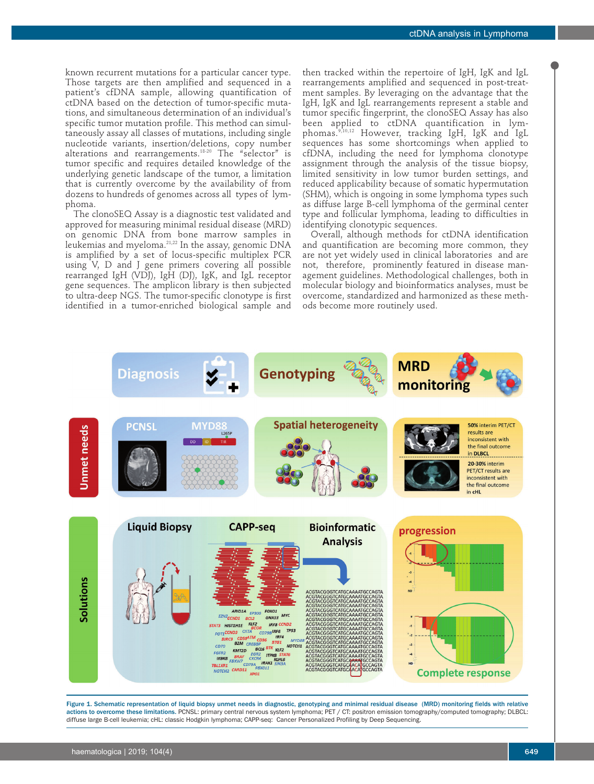known recurrent mutations for a particular cancer type. Those targets are then amplified and sequenced in a patient's cfDNA sample, allowing quantification of ctDNA based on the detection of tumor-specific mutations, and simultaneous determination of an individual's specific tumor mutation profile. This method can simultaneously assay all classes of mutations, including single nucleotide variants, insertion/deletions, copy number alterations and rearrangements.18-20 The "selector" is tumor specific and requires detailed knowledge of the underlying genetic landscape of the tumor, a limitation that is currently overcome by the availability of from dozens to hundreds of genomes across all types of lymphoma.

The clonoSEQ Assay is a diagnostic test validated and approved for measuring minimal residual disease (MRD) on genomic DNA from bone marrow samples in leukemias and myeloma.21,22 In the assay, genomic DNA is amplified by a set of locus-specific multiplex PCR using V, D and J gene primers covering all possible rearranged IgH (VDJ), IgH (DJ), IgK, and IgL receptor gene sequences. The amplicon library is then subjected to ultra-deep NGS. The tumor-specific clonotype is first identified in a tumor-enriched biological sample and

then tracked within the repertoire of IgH, IgK and IgL rearrangements amplified and sequenced in post-treatment samples. By leveraging on the advantage that the IgH, IgK and IgL rearrangements represent a stable and tumor specific fingerprint, the clonoSEQ Assay has also been applied to ctDNA quantification in lymphomas.9,10,12 However, tracking IgH, IgK and IgL sequences has some shortcomings when applied to cfDNA, including the need for lymphoma clonotype assignment through the analysis of the tissue biopsy, limited sensitivity in low tumor burden settings, and reduced applicability because of somatic hypermutation (SHM), which is ongoing in some lymphoma types such as diffuse large B-cell lymphoma of the germinal center type and follicular lymphoma, leading to difficulties in identifying clonotypic sequences.

Overall, although methods for ctDNA identification and quantification are becoming more common, they are not yet widely used in clinical laboratories and are not, therefore, prominently featured in disease management guidelines. Methodological challenges, both in molecular biology and bioinformatics analyses, must be overcome, standardized and harmonized as these methods become more routinely used.



Figure 1. Schematic representation of liquid biopsy unmet needs in diagnostic, genotyping and minimal residual disease (MRD) monitoring fields with relative actions to overcome these limitations. PCNSL: primary central nervous system lymphoma; PET / CT: positron emission tomography/computed tomography; DLBCL: diffuse large B-cell leukemia; cHL: classic Hodgkin lymphoma; CAPP-seq: Cancer Personalized Profiling by Deep Sequencing.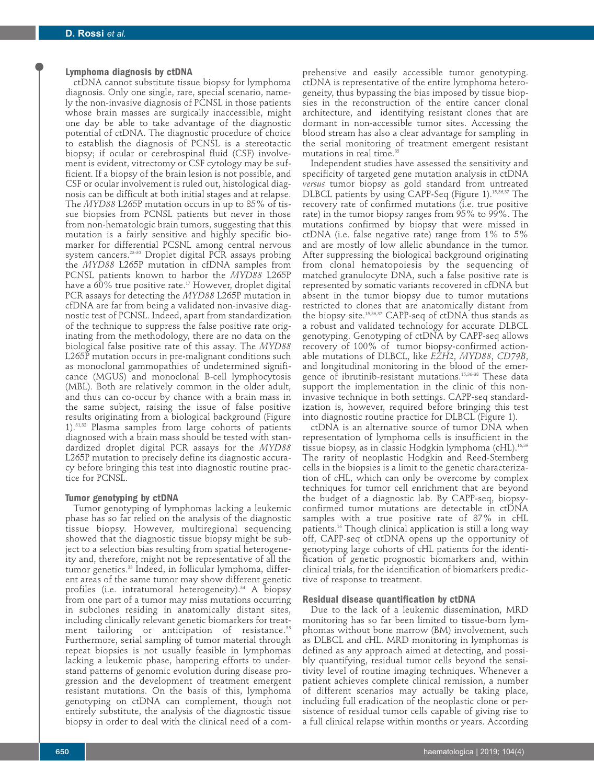# **Lymphoma diagnosis by ctDNA**

ctDNA cannot substitute tissue biopsy for lymphoma diagnosis. Only one single, rare, special scenario, namely the non-invasive diagnosis of PCNSL in those patients whose brain masses are surgically inaccessible, might one day be able to take advantage of the diagnostic potential of ctDNA. The diagnostic procedure of choice to establish the diagnosis of PCNSL is a stereotactic biopsy; if ocular or cerebrospinal fluid (CSF) involvement is evident, vitrectomy or CSF cytology may be sufficient. If a biopsy of the brain lesion is not possible, and CSF or ocular involvement is ruled out, histological diagnosis can be difficult at both initial stages and at relapse. The *MYD88* L265P mutation occurs in up to 85% of tissue biopsies from PCNSL patients but never in those from non-hematologic brain tumors, suggesting that this mutation is a fairly sensitive and highly specific biomarker for differential PCSNL among central nervous system cancers.<sup>23-30</sup> Droplet digital PCR assays probing the *MYD88* L265P mutation in cfDNA samples from PCNSL patients known to harbor the *MYD88* L265P have a 60% true positive rate.<sup>17</sup> However, droplet digital PCR assays for detecting the *MYD88* L265P mutation in cfDNA are far from being a validated non-invasive diagnostic test of PCNSL. Indeed, apart from standardization of the technique to suppress the false positive rate originating from the methodology, there are no data on the biological false positive rate of this assay. The *MYD88* L265P mutation occurs in pre-malignant conditions such as monoclonal gammopathies of undetermined significance (MGUS) and monoclonal B-cell lymphocytosis (MBL). Both are relatively common in the older adult, and thus can co-occur by chance with a brain mass in the same subject, raising the issue of false positive results originating from a biological background (Figure 1).31,32 Plasma samples from large cohorts of patients diagnosed with a brain mass should be tested with standardized droplet digital PCR assays for the *MYD88* L265P mutation to precisely define its diagnostic accuracy before bringing this test into diagnostic routine practice for PCNSL.

#### **Tumor genotyping by ctDNA**

Tumor genotyping of lymphomas lacking a leukemic phase has so far relied on the analysis of the diagnostic tissue biopsy. However, multiregional sequencing showed that the diagnostic tissue biopsy might be subject to a selection bias resulting from spatial heterogeneity and, therefore, might not be representative of all the tumor genetics.<sup>33</sup> Indeed, in follicular lymphoma, different areas of the same tumor may show different genetic profiles (i.e. intratumoral heterogeneity).<sup>34</sup> A biopsy from one part of a tumor may miss mutations occurring in subclones residing in anatomically distant sites, including clinically relevant genetic biomarkers for treatment tailoring or anticipation of resistance.<sup>33</sup> Furthermore, serial sampling of tumor material through repeat biopsies is not usually feasible in lymphomas lacking a leukemic phase, hampering efforts to understand patterns of genomic evolution during disease progression and the development of treatment emergent resistant mutations. On the basis of this, lymphoma genotyping on ctDNA can complement, though not entirely substitute, the analysis of the diagnostic tissue biopsy in order to deal with the clinical need of a com-

prehensive and easily accessible tumor genotyping. ctDNA is representative of the entire lymphoma heterogeneity, thus bypassing the bias imposed by tissue biopsies in the reconstruction of the entire cancer clonal architecture, and identifying resistant clones that are dormant in non-accessible tumor sites. Accessing the blood stream has also a clear advantage for sampling in the serial monitoring of treatment emergent resistant mutations in real time.35

Independent studies have assessed the sensitivity and specificity of targeted gene mutation analysis in ctDNA *versus* tumor biopsy as gold standard from untreated DLBCL patients by using CAPP-Seq (Figure 1).<sup>15,36,37</sup> The recovery rate of confirmed mutations (i.e. true positive rate) in the tumor biopsy ranges from 95% to 99%. The mutations confirmed by biopsy that were missed in ctDNA (i.e. false negative rate) range from 1% to 5% and are mostly of low allelic abundance in the tumor. After suppressing the biological background originating from clonal hematopoiesis by the sequencing of matched granulocyte DNA, such a false positive rate is represented by somatic variants recovered in cfDNA but absent in the tumor biopsy due to tumor mutations restricted to clones that are anatomically distant from the biopsy site.15,36,37 CAPP-seq of ctDNA thus stands as a robust and validated technology for accurate DLBCL genotyping. Genotyping of ctDNA by CAPP-seq allows recovery of 100% of tumor biopsy-confirmed actionable mutations of DLBCL, like *EZH2*, *MYD88*, *CD79B*, and longitudinal monitoring in the blood of the emergence of ibrutinib-resistant mutations.15,36-38 These data support the implementation in the clinic of this noninvasive technique in both settings. CAPP-seq standardization is, however, required before bringing this test into diagnostic routine practice for DLBCL (Figure 1).

ctDNA is an alternative source of tumor DNA when representation of lymphoma cells is insufficient in the tissue biopsy, as in classic Hodgkin lymphoma (cHL).<sup>16,39</sup> The rarity of neoplastic Hodgkin and Reed-Sternberg cells in the biopsies is a limit to the genetic characterization of cHL, which can only be overcome by complex techniques for tumor cell enrichment that are beyond the budget of a diagnostic lab. By CAPP-seq, biopsyconfirmed tumor mutations are detectable in ctDNA samples with a true positive rate of 87% in cHL patients.16 Though clinical application is still a long way off, CAPP-seq of ctDNA opens up the opportunity of genotyping large cohorts of cHL patients for the identification of genetic prognostic biomarkers and, within clinical trials, for the identification of biomarkers predictive of response to treatment.

## **Residual disease quantification by ctDNA**

Due to the lack of a leukemic dissemination, MRD monitoring has so far been limited to tissue-born lymphomas without bone marrow (BM) involvement, such as DLBCL and cHL. MRD monitoring in lymphomas is defined as any approach aimed at detecting, and possibly quantifying, residual tumor cells beyond the sensitivity level of routine imaging techniques. Whenever a patient achieves complete clinical remission, a number of different scenarios may actually be taking place, including full eradication of the neoplastic clone or persistence of residual tumor cells capable of giving rise to a full clinical relapse within months or years. According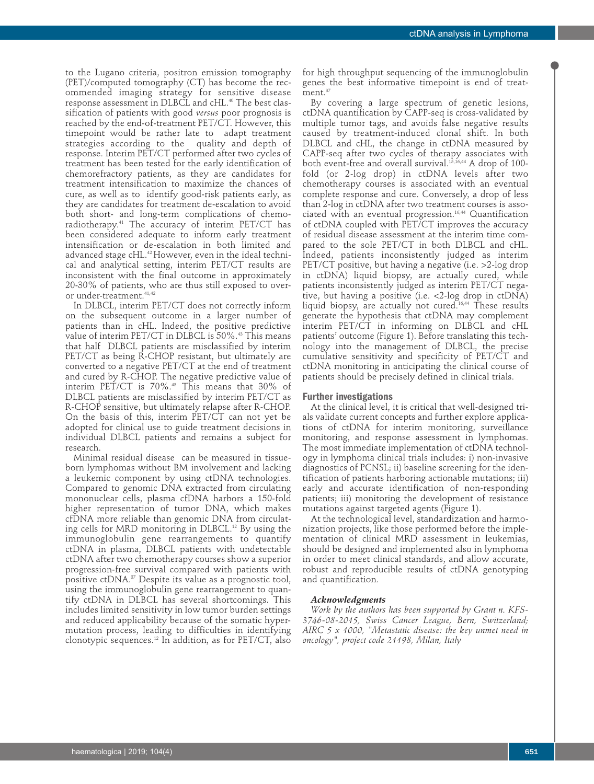to the Lugano criteria, positron emission tomography (PET)/computed tomography (CT) has become the recommended imaging strategy for sensitive disease response assessment in DLBCL and cHL.<sup>40</sup> The best classification of patients with good *versus* poor prognosis is reached by the end-of-treatment PET/CT. However, this timepoint would be rather late to adapt treatment strategies according to the quality and depth of response. Interim PET/CT performed after two cycles of treatment has been tested for the early identification of chemorefractory patients, as they are candidates for treatment intensification to maximize the chances of cure, as well as to identify good-risk patients early, as they are candidates for treatment de-escalation to avoid both short- and long-term complications of chemoradiotherapy.41 The accuracy of interim PET/CT has been considered adequate to inform early treatment intensification or de-escalation in both limited and advanced stage cHL.42 However, even in the ideal technical and analytical setting, interim PET/CT results are inconsistent with the final outcome in approximately 20-30% of patients, who are thus still exposed to overor under-treatment.<sup>41,42</sup>

In DLBCL, interim PET/CT does not correctly inform on the subsequent outcome in a larger number of patients than in cHL. Indeed, the positive predictive value of interim PET/CT in DLBCL is 50%.43 This means that half DLBCL patients are misclassified by interim PET/CT as being R-CHOP resistant, but ultimately are converted to a negative PET/CT at the end of treatment and cured by R-CHOP. The negative predictive value of interim PET/CT is 70%.43 This means that 30% of DLBCL patients are misclassified by interim PET/CT as R-CHOP sensitive, but ultimately relapse after R-CHOP. On the basis of this, interim PET/CT can not yet be adopted for clinical use to guide treatment decisions in individual DLBCL patients and remains a subject for research.

Minimal residual disease can be measured in tissueborn lymphomas without BM involvement and lacking a leukemic component by using ctDNA technologies. Compared to genomic DNA extracted from circulating mononuclear cells, plasma cfDNA harbors a 150-fold higher representation of tumor DNA, which makes cfDNA more reliable than genomic DNA from circulating cells for MRD monitoring in DLBCL.12 By using the immunoglobulin gene rearrangements to quantify ctDNA in plasma, DLBCL patients with undetectable ctDNA after two chemotherapy courses show a superior progression-free survival compared with patients with positive ctDNA.<sup>37</sup> Despite its value as a prognostic tool, using the immunoglobulin gene rearrangement to quantify ctDNA in DLBCL has several shortcomings. This includes limited sensitivity in low tumor burden settings and reduced applicability because of the somatic hypermutation process, leading to difficulties in identifying clonotypic sequences.12 In addition, as for PET/CT, also

for high throughput sequencing of the immunoglobulin genes the best informative timepoint is end of treat- $\,$  ment.  $^{37}$ 

By covering a large spectrum of genetic lesions, ctDNA quantification by CAPP-seq is cross-validated by multiple tumor tags, and avoids false negative results caused by treatment-induced clonal shift. In both DLBCL and cHL, the change in ctDNA measured by CAPP-seq after two cycles of therapy associates with both event-free and overall survival.15,16,44 A drop of 100 fold (or 2-log drop) in ctDNA levels after two chemotherapy courses is associated with an eventual complete response and cure. Conversely, a drop of less than 2-log in ctDNA after two treatment courses is associated with an eventual progression.<sup>16,44</sup> Quantification of ctDNA coupled with PET/CT improves the accuracy of residual disease assessment at the interim time compared to the sole PET/CT in both DLBCL and cHL. Indeed, patients inconsistently judged as interim PET/CT positive, but having a negative (i.e. >2-log drop in ctDNA) liquid biopsy, are actually cured, while patients inconsistently judged as interim PET/CT negative, but having a positive (i.e. <2-log drop in ctDNA) liquid biopsy, are actually not cured.16,44 These results generate the hypothesis that ctDNA may complement interim PET/CT in informing on DLBCL and cHL patients' outcome (Figure 1). Before translating this technology into the management of DLBCL, the precise cumulative sensitivity and specificity of PET/CT and ctDNA monitoring in anticipating the clinical course of patients should be precisely defined in clinical trials.

#### **Further investigations**

At the clinical level, it is critical that well-designed trials validate current concepts and further explore applications of ctDNA for interim monitoring, surveillance monitoring, and response assessment in lymphomas. The most immediate implementation of ctDNA technology in lymphoma clinical trials includes: i) non-invasive diagnostics of PCNSL; ii) baseline screening for the identification of patients harboring actionable mutations; iii) early and accurate identification of non-responding patients; iii) monitoring the development of resistance mutations against targeted agents (Figure 1).

At the technological level, standardization and harmonization projects, like those performed before the implementation of clinical MRD assessment in leukemias, should be designed and implemented also in lymphoma in order to meet clinical standards, and allow accurate, robust and reproducible results of ctDNA genotyping and quantification.

#### *Acknowledgments*

*Work by the authors has been supported by Grant n. KFS-3746-08-2015, Swiss Cancer League, Bern, Switzerland; AIRC 5 x 1000, "Metastatic disease: the key unmet need in oncology", project code 21198, Milan, Italy*